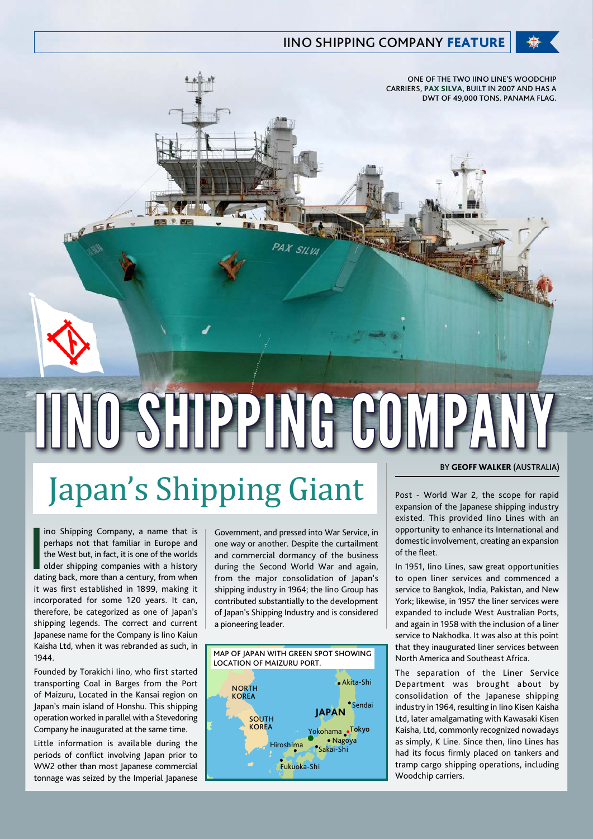## **IINO SHIPPING COMPANY FEATURE**

ONE OF THE TWO IINO LINE'S WOODCHIP CARRIERS, PAX SILVA, BUILT IN 2007 AND HAS A DWT OF 49,000 TONS. PANAMA FLAG.

## IINO SHIPPING COMP

PAX SILVA

## Japan's Shipping Giant

**I**<br>da ino Shipping Company, a name that is perhaps not that familiar in Europe and the West but, in fact, it is one of the worlds older shipping companies with a history dating back, more than a century, from when it was first established in 1899, making it incorporated for some 120 years. It can, therefore, be categorized as one of Japan's shipping legends. The correct and current Japanese name for the Company is Iino Kaiun Kaisha Ltd, when it was rebranded as such, in 1944.

EE

Founded by Torakichi Iino, who first started transporting Coal in Barges from the Port of Maizuru, Located in the Kansai region on Japan's main island of Honshu. This shipping operation worked in parallel with a Stevedoring Company he inaugurated at the same time.

Little information is available during the periods of conflict involving Japan prior to WW2 other than most Japanese commercial tonnage was seized by the Imperial Japanese

Government, and pressed into War Service, in one way or another. Despite the curtailment and commercial dormancy of the business during the Second World War and again, from the major consolidation of Japan's shipping industry in 1964; the Iino Group has contributed substantially to the development of Japan's Shipping Industry and is considered a pioneering leader.



## BY GEOFF WALKER (AUSTRALIA)

Post - World War 2, the scope for rapid expansion of the Japanese shipping industry existed. This provided Iino Lines with an opportunity to enhance its International and domestic involvement, creating an expansion of the fleet.

In 1951, Iino Lines, saw great opportunities to open liner services and commenced a service to Bangkok, India, Pakistan, and New York; likewise, in 1957 the liner services were expanded to include West Australian Ports, and again in 1958 with the inclusion of a liner service to Nakhodka. It was also at this point that they inaugurated liner services between North America and Southeast Africa.

The separation of the Liner Service Department was brought about by consolidation of the Japanese shipping industry in 1964, resulting in Iino Kisen Kaisha Ltd, later amalgamating with Kawasaki Kisen Kaisha, Ltd, commonly recognized nowadays as simply, K Line. Since then, Iino Lines has had its focus firmly placed on tankers and tramp cargo shipping operations, including Woodchip carriers.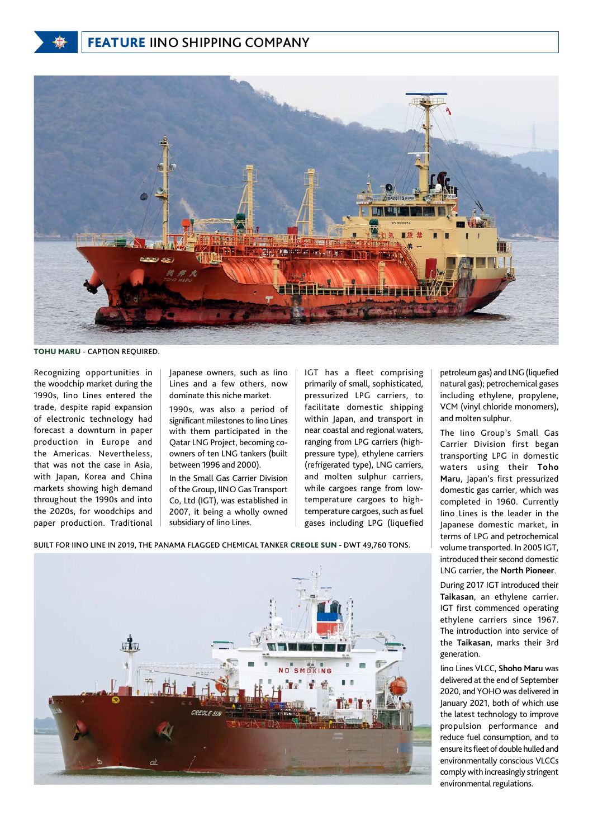

TOHU MARU - CAPTION REQUIRED.

Recognizing opportunities in the woodchip market during the 1990s, Iino Lines entered the trade, despite rapid expansion of electronic technology had forecast a downturn in paper production in Europe and the Americas. Nevertheless, that was not the case in Asia, with Japan, Korea and China markets showing high demand throughout the 1990s and into the 2020s, for woodchips and paper production. Traditional Japanese owners, such as Iino Lines and a few others, now dominate this niche market.

1990s, was also a period of significant milestones to Iino Lines with them participated in the Qatar LNG Project, becoming coowners of ten LNG tankers (built between 1996 and 2000).

In the Small Gas Carrier Division of the Group, IINO Gas Transport Co, Ltd (IGT), was established in 2007, it being a wholly owned subsidiary of Iino Lines.

IGT has a fleet comprising primarily of small, sophisticated, pressurized LPG carriers, to facilitate domestic shipping within Japan, and transport in near coastal and regional waters, ranging from LPG carriers (highpressure type), ethylene carriers (refrigerated type), LNG carriers, and molten sulphur carriers, while cargoes range from lowtemperature cargoes to hightemperature cargoes, such as fuel gases including LPG (liquefied

BUILT FOR IINO LINE IN 2019, THE PANAMA FLAGGED CHEMICAL TANKER CREOLE SUN - DWT 49,760 TONS.

petroleum gas) and LNG (liquefied natural gas); petrochemical gases including ethylene, propylene, VCM (vinyl chloride monomers), and molten sulphur.

The Iino Group's Small Gas Carrier Division first began transporting LPG in domestic waters using their **Toho Maru**, Japan's first pressurized domestic gas carrier, which was completed in 1960. Currently Iino Lines is the leader in the Japanese domestic market, in terms of LPG and petrochemical volume transported. In 2005 IGT, introduced their second domestic LNG carrier, the **North Pioneer**.

During 2017 IGT introduced their **Taikasan**, an ethylene carrier. IGT first commenced operating ethylene carriers since 1967. The introduction into service of the **Taikasan**, marks their 3rd generation.

Iino Lines VLCC, **Shoho Maru** was delivered at the end of September 2020, and YOHO was delivered in January 2021, both of which use the latest technology to improve propulsion performance and reduce fuel consumption, and to ensure its fleet of double hulled and environmentally conscious VLCCs comply with increasingly stringent environmental regulations.